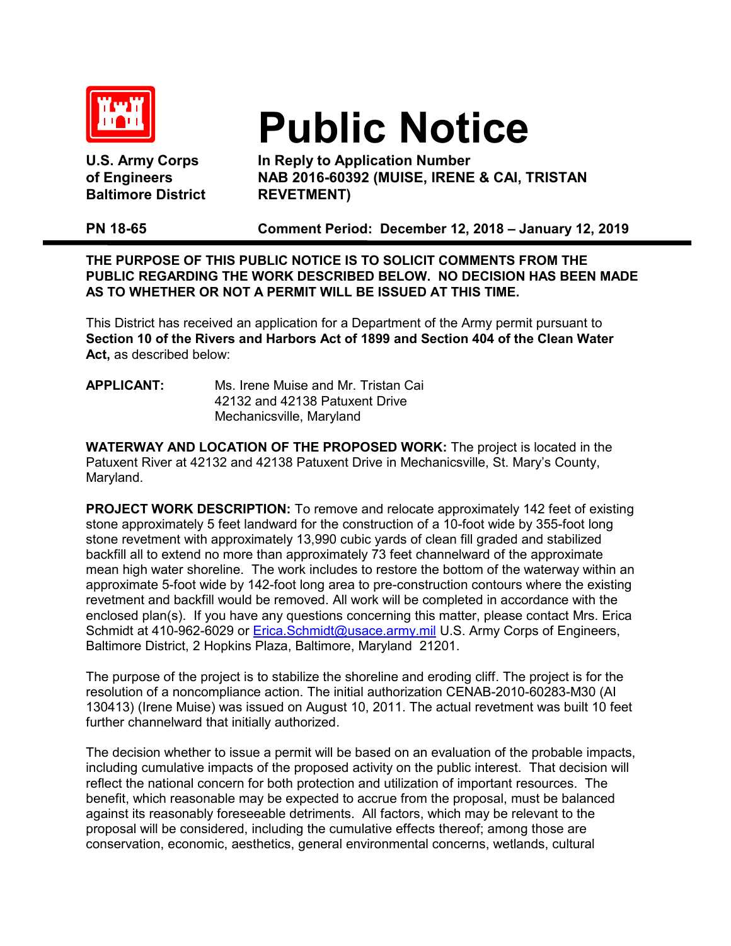

**Baltimore District REVETMENT)**

## **Public Notice**

U.S. Army Corps **In Reply to Application Number**<br>of Engineers **In AB 2016-60392** (MUISE, IRENE **of Engineers NAB 2016-60392 (MUISE, IRENE & CAI, TRISTAN** 

**PN 18-65 Comment Period: December 12, 2018 – January 12, 2019** 

**THE PURPOSE OF THIS PUBLIC NOTICE IS TO SOLICIT COMMENTS FROM THE PUBLIC REGARDING THE WORK DESCRIBED BELOW. NO DECISION HAS BEEN MADE AS TO WHETHER OR NOT A PERMIT WILL BE ISSUED AT THIS TIME.**

This District has received an application for a Department of the Army permit pursuant to **Section 10 of the Rivers and Harbors Act of 1899 and Section 404 of the Clean Water Act,** as described below:

## **APPLICANT:** Ms. Irene Muise and Mr. Tristan Cai 42132 and 42138 Patuxent Drive Mechanicsville, Maryland

**WATERWAY AND LOCATION OF THE PROPOSED WORK:** The project is located in the Patuxent River at 42132 and 42138 Patuxent Drive in Mechanicsville, St. Mary's County, Maryland.

**PROJECT WORK DESCRIPTION:** To remove and relocate approximately 142 feet of existing stone approximately 5 feet landward for the construction of a 10-foot wide by 355-foot long stone revetment with approximately 13,990 cubic yards of clean fill graded and stabilized backfill all to extend no more than approximately 73 feet channelward of the approximate mean high water shoreline. The work includes to restore the bottom of the waterway within an approximate 5-foot wide by 142-foot long area to pre-construction contours where the existing revetment and backfill would be removed. All work will be completed in accordance with the enclosed plan(s). If you have any questions concerning this matter, please contact Mrs. Erica Schmidt at 410-962-6029 or **Erica.Schmidt@usace.army.mil U.S. Army Corps of Engineers,** Baltimore District, 2 Hopkins Plaza, Baltimore, Maryland 21201.

The purpose of the project is to stabilize the shoreline and eroding cliff. The project is for the resolution of a noncompliance action. The initial authorization CENAB-2010-60283-M30 (AI 130413) (Irene Muise) was issued on August 10, 2011. The actual revetment was built 10 feet further channelward that initially authorized.

The decision whether to issue a permit will be based on an evaluation of the probable impacts, including cumulative impacts of the proposed activity on the public interest. That decision will reflect the national concern for both protection and utilization of important resources. The benefit, which reasonable may be expected to accrue from the proposal, must be balanced against its reasonably foreseeable detriments. All factors, which may be relevant to the proposal will be considered, including the cumulative effects thereof; among those are conservation, economic, aesthetics, general environmental concerns, wetlands, cultural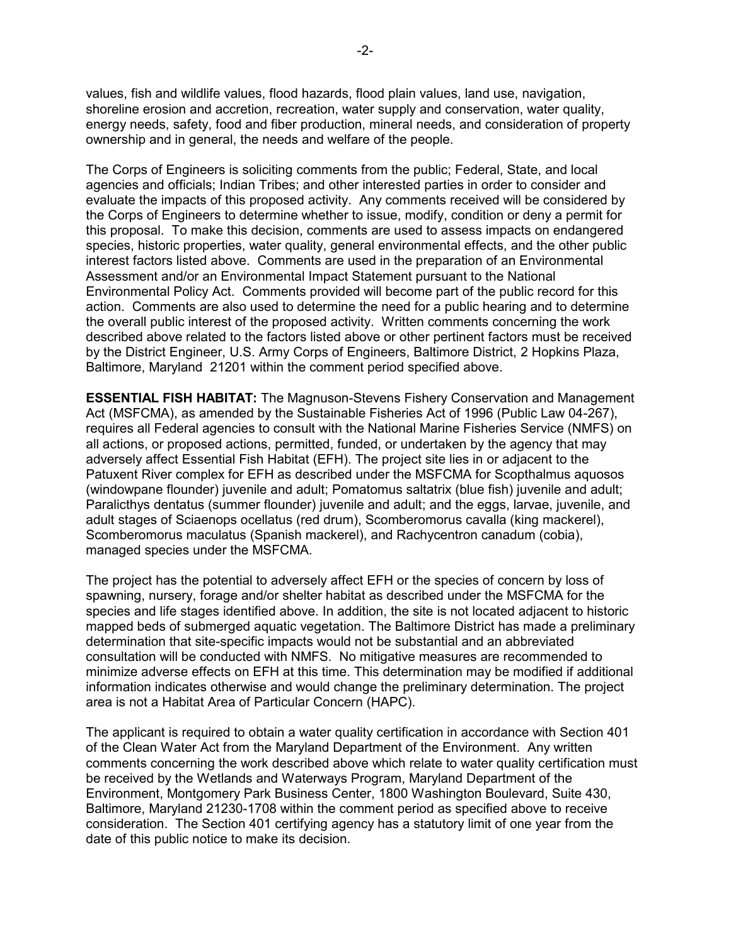values, fish and wildlife values, flood hazards, flood plain values, land use, navigation, shoreline erosion and accretion, recreation, water supply and conservation, water quality, energy needs, safety, food and fiber production, mineral needs, and consideration of property ownership and in general, the needs and welfare of the people.

The Corps of Engineers is soliciting comments from the public; Federal, State, and local agencies and officials; Indian Tribes; and other interested parties in order to consider and evaluate the impacts of this proposed activity. Any comments received will be considered by the Corps of Engineers to determine whether to issue, modify, condition or deny a permit for this proposal. To make this decision, comments are used to assess impacts on endangered species, historic properties, water quality, general environmental effects, and the other public interest factors listed above. Comments are used in the preparation of an Environmental Assessment and/or an Environmental Impact Statement pursuant to the National Environmental Policy Act. Comments provided will become part of the public record for this action. Comments are also used to determine the need for a public hearing and to determine the overall public interest of the proposed activity. Written comments concerning the work described above related to the factors listed above or other pertinent factors must be received by the District Engineer, U.S. Army Corps of Engineers, Baltimore District, 2 Hopkins Plaza, Baltimore, Maryland 21201 within the comment period specified above.

**ESSENTIAL FISH HABITAT:** The Magnuson-Stevens Fishery Conservation and Management Act (MSFCMA), as amended by the Sustainable Fisheries Act of 1996 (Public Law 04-267), requires all Federal agencies to consult with the National Marine Fisheries Service (NMFS) on all actions, or proposed actions, permitted, funded, or undertaken by the agency that may adversely affect Essential Fish Habitat (EFH). The project site lies in or adjacent to the Patuxent River complex for EFH as described under the MSFCMA for Scopthalmus aquosos (windowpane flounder) juvenile and adult; Pomatomus saltatrix (blue fish) juvenile and adult; Paralicthys dentatus (summer flounder) juvenile and adult; and the eggs, larvae, juvenile, and adult stages of Sciaenops ocellatus (red drum), Scomberomorus cavalla (king mackerel), Scomberomorus maculatus (Spanish mackerel), and Rachycentron canadum (cobia), managed species under the MSFCMA.

The project has the potential to adversely affect EFH or the species of concern by loss of spawning, nursery, forage and/or shelter habitat as described under the MSFCMA for the species and life stages identified above. In addition, the site is not located adjacent to historic mapped beds of submerged aquatic vegetation. The Baltimore District has made a preliminary determination that site-specific impacts would not be substantial and an abbreviated consultation will be conducted with NMFS. No mitigative measures are recommended to minimize adverse effects on EFH at this time. This determination may be modified if additional information indicates otherwise and would change the preliminary determination. The project area is not a Habitat Area of Particular Concern (HAPC).

The applicant is required to obtain a water quality certification in accordance with Section 401 of the Clean Water Act from the Maryland Department of the Environment. Any written comments concerning the work described above which relate to water quality certification must be received by the Wetlands and Waterways Program, Maryland Department of the Environment, Montgomery Park Business Center, 1800 Washington Boulevard, Suite 430, Baltimore, Maryland 21230-1708 within the comment period as specified above to receive consideration. The Section 401 certifying agency has a statutory limit of one year from the date of this public notice to make its decision.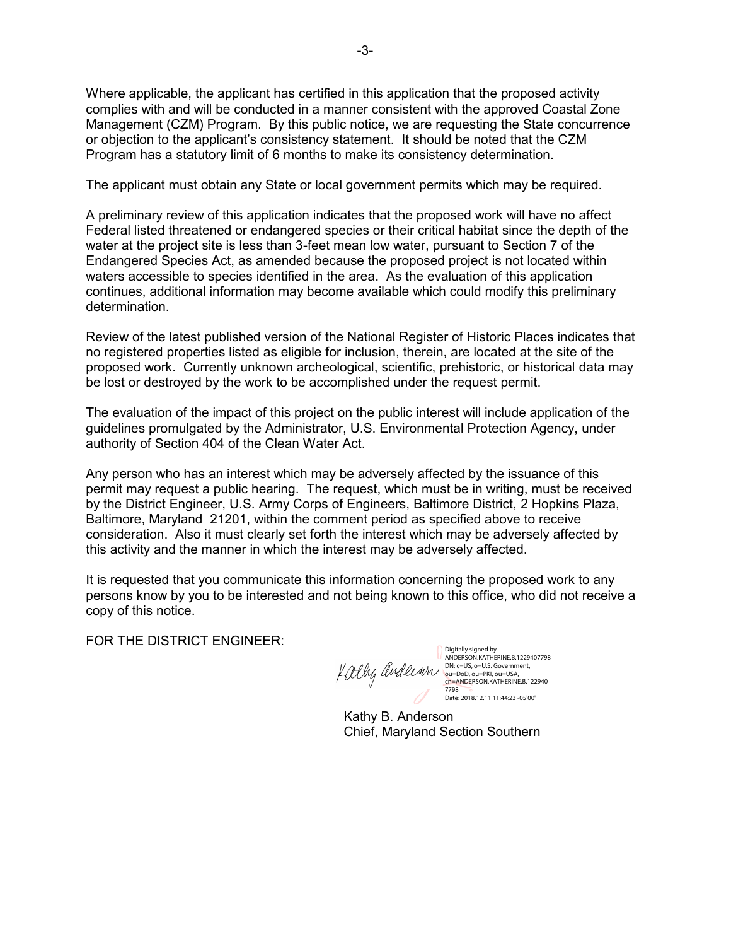Where applicable, the applicant has certified in this application that the proposed activity complies with and will be conducted in a manner consistent with the approved Coastal Zone Management (CZM) Program. By this public notice, we are requesting the State concurrence or objection to the applicant's consistency statement. It should be noted that the CZM Program has a statutory limit of 6 months to make its consistency determination.

The applicant must obtain any State or local government permits which may be required.

A preliminary review of this application indicates that the proposed work will have no affect Federal listed threatened or endangered species or their critical habitat since the depth of the water at the project site is less than 3-feet mean low water, pursuant to Section 7 of the Endangered Species Act, as amended because the proposed project is not located within waters accessible to species identified in the area. As the evaluation of this application continues, additional information may become available which could modify this preliminary determination.

Review of the latest published version of the National Register of Historic Places indicates that no registered properties listed as eligible for inclusion, therein, are located at the site of the proposed work. Currently unknown archeological, scientific, prehistoric, or historical data may be lost or destroyed by the work to be accomplished under the request permit.

The evaluation of the impact of this project on the public interest will include application of the guidelines promulgated by the Administrator, U.S. Environmental Protection Agency, under authority of Section 404 of the Clean Water Act.

Any person who has an interest which may be adversely affected by the issuance of this permit may request a public hearing. The request, which must be in writing, must be received by the District Engineer, U.S. Army Corps of Engineers, Baltimore District, 2 Hopkins Plaza, Baltimore, Maryland 21201, within the comment period as specified above to receive consideration. Also it must clearly set forth the interest which may be adversely affected by this activity and the manner in which the interest may be adversely affected.

It is requested that you communicate this information concerning the proposed work to any persons know by you to be interested and not being known to this office, who did not receive a copy of this notice.

FOR THE DISTRICT ENGINEER:

Digitally signed by<br>ANDERSON.KATHERINE.B.1229407798 ANDERSON.KATHERINE.B.1229407798<br>DN: c=US, o=U.S. Government,<br>ou=DoD, ou=PKI, ou=USA,<br>cn=ANDERSON.KATHERINE.B.122940<br>7798 Date: 2018.12.11 11:44:23 -05'00'

Kathy B. Anderson Chief, Maryland Section Southern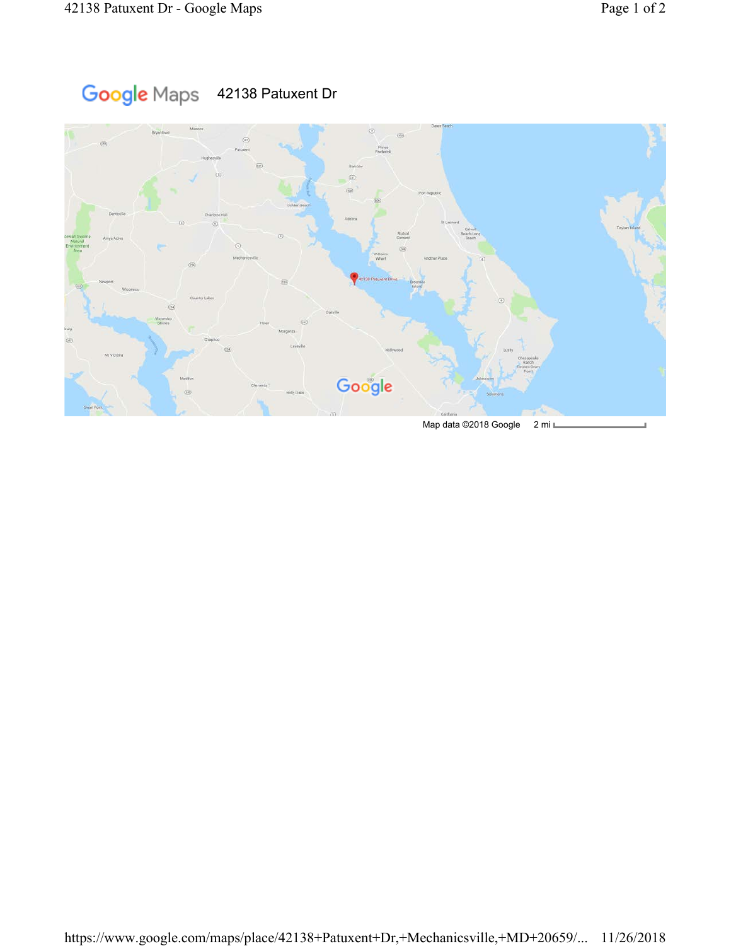## Google Maps 42138 Patuxent Dr

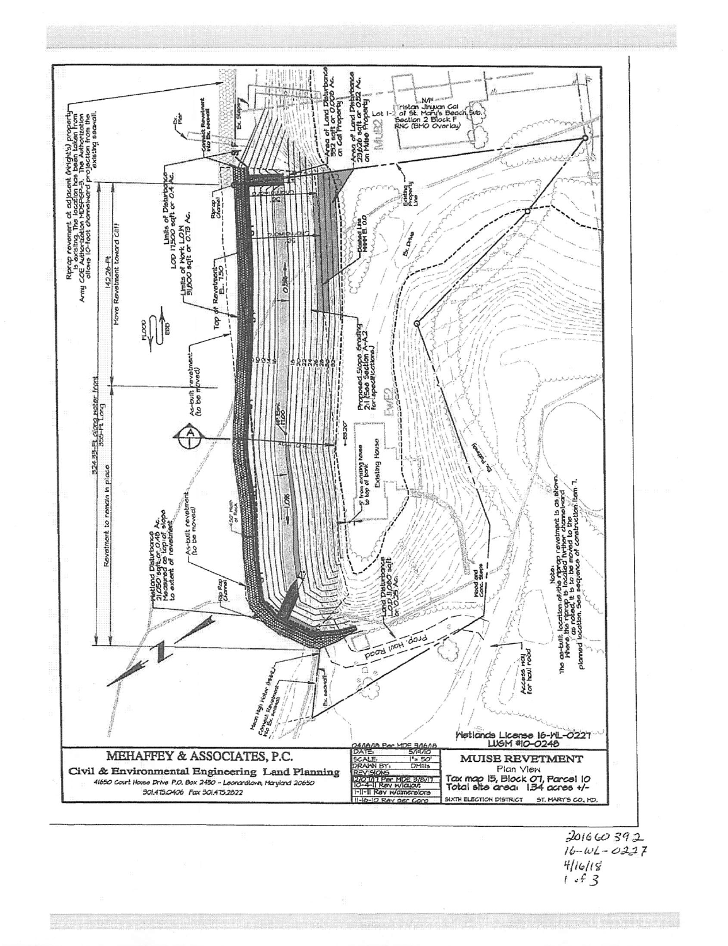

 $\frac{41618}{1.5}$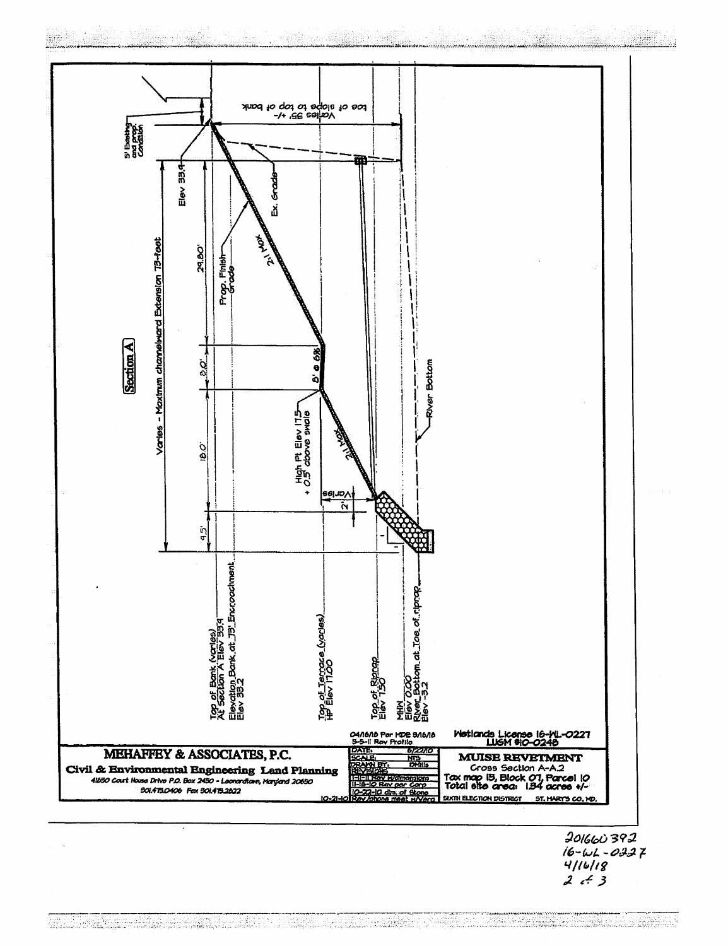

 $16 - 62 - 0227$  $2 + 3$